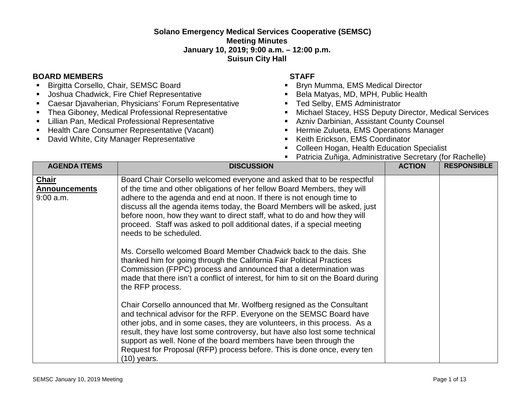## **Solano Emergency Medical Services Cooperative (SEMSC) Meeting Minutes January 10, 2019; 9:00 a.m. – 12:00 p.m. Suisun City Hall**

## **BOARD MEMBERS STAFF**

- **Birgitta Corsello, Chair, SEMSC Board**
- **Joshua Chadwick, Fire Chief Representative**
- Caesar Djavaherian, Physicians' Forum Representative
- **F** Thea Giboney, Medical Professional Representative
- **E.** Lillian Pan, Medical Professional Representative
- Health Care Consumer Representative (Vacant)
- **David White, City Manager Representative**

- **Bryn Mumma, EMS Medical Director**
- Bela Matyas, MD, MPH, Public Health
- **Ted Selby, EMS Administrator**
- Michael Stacey, HSS Deputy Director, Medical Services
- Azniv Darbinian, Assistant County Counsel
- **Hermie Zulueta, EMS Operations Manager**
- **Keith Erickson, EMS Coordinator**
- **Colleen Hogan, Health Education Specialist**
- Patricia Zuñiga, Administrative Secretary (for Rachelle)

| <b>AGENDA ITEMS</b>                                 | <b>DISCUSSION</b>                                                                                                                                                                                                                                                                                                                                                                                                                                                                        | <b>ACTION</b> | <b>RESPONSIBLE</b> |
|-----------------------------------------------------|------------------------------------------------------------------------------------------------------------------------------------------------------------------------------------------------------------------------------------------------------------------------------------------------------------------------------------------------------------------------------------------------------------------------------------------------------------------------------------------|---------------|--------------------|
| <b>Chair</b><br><b>Announcements</b><br>$9:00$ a.m. | Board Chair Corsello welcomed everyone and asked that to be respectful<br>of the time and other obligations of her fellow Board Members, they will<br>adhere to the agenda and end at noon. If there is not enough time to<br>discuss all the agenda items today, the Board Members will be asked, just<br>before noon, how they want to direct staff, what to do and how they will<br>proceed. Staff was asked to poll additional dates, if a special meeting<br>needs to be scheduled. |               |                    |
|                                                     | Ms. Corsello welcomed Board Member Chadwick back to the dais. She<br>thanked him for going through the California Fair Political Practices<br>Commission (FPPC) process and announced that a determination was<br>made that there isn't a conflict of interest, for him to sit on the Board during<br>the RFP process.                                                                                                                                                                   |               |                    |
|                                                     | Chair Corsello announced that Mr. Wolfberg resigned as the Consultant<br>and technical advisor for the RFP. Everyone on the SEMSC Board have<br>other jobs, and in some cases, they are volunteers, in this process. As a<br>result, they have lost some controversy, but have also lost some technical<br>support as well. None of the board members have been through the<br>Request for Proposal (RFP) process before. This is done once, every ten<br>$(10)$ years.                  |               |                    |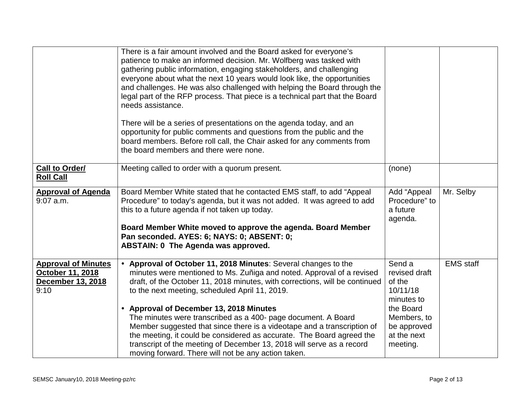|                                                                             | There is a fair amount involved and the Board asked for everyone's<br>patience to make an informed decision. Mr. Wolfberg was tasked with<br>gathering public information, engaging stakeholders, and challenging<br>everyone about what the next 10 years would look like, the opportunities<br>and challenges. He was also challenged with helping the Board through the<br>legal part of the RFP process. That piece is a technical part that the Board<br>needs assistance.<br>There will be a series of presentations on the agenda today, and an<br>opportunity for public comments and questions from the public and the<br>board members. Before roll call, the Chair asked for any comments from<br>the board members and there were none. |                                                                                                                                   |                  |
|-----------------------------------------------------------------------------|-----------------------------------------------------------------------------------------------------------------------------------------------------------------------------------------------------------------------------------------------------------------------------------------------------------------------------------------------------------------------------------------------------------------------------------------------------------------------------------------------------------------------------------------------------------------------------------------------------------------------------------------------------------------------------------------------------------------------------------------------------|-----------------------------------------------------------------------------------------------------------------------------------|------------------|
| <b>Call to Order/</b><br><b>Roll Call</b>                                   | Meeting called to order with a quorum present.                                                                                                                                                                                                                                                                                                                                                                                                                                                                                                                                                                                                                                                                                                      | (none)                                                                                                                            |                  |
| <b>Approval of Agenda</b><br>$9:07$ a.m.                                    | Board Member White stated that he contacted EMS staff, to add "Appeal<br>Procedure" to today's agenda, but it was not added. It was agreed to add<br>this to a future agenda if not taken up today.<br>Board Member White moved to approve the agenda. Board Member<br>Pan seconded. AYES: 6; NAYS: 0; ABSENT: 0;<br><b>ABSTAIN: 0 The Agenda was approved.</b>                                                                                                                                                                                                                                                                                                                                                                                     | Add "Appeal<br>Procedure" to<br>a future<br>agenda.                                                                               | Mr. Selby        |
| <b>Approval of Minutes</b><br>October 11, 2018<br>December 13, 2018<br>9:10 | • Approval of October 11, 2018 Minutes: Several changes to the<br>minutes were mentioned to Ms. Zuñiga and noted. Approval of a revised<br>draft, of the October 11, 2018 minutes, with corrections, will be continued<br>to the next meeting, scheduled April 11, 2019.<br>• Approval of December 13, 2018 Minutes<br>The minutes were transcribed as a 400- page document. A Board<br>Member suggested that since there is a videotape and a transcription of<br>the meeting, it could be considered as accurate. The Board agreed the<br>transcript of the meeting of December 13, 2018 will serve as a record<br>moving forward. There will not be any action taken.                                                                            | Send a<br>revised draft<br>of the<br>10/11/18<br>minutes to<br>the Board<br>Members, to<br>be approved<br>at the next<br>meeting. | <b>EMS</b> staff |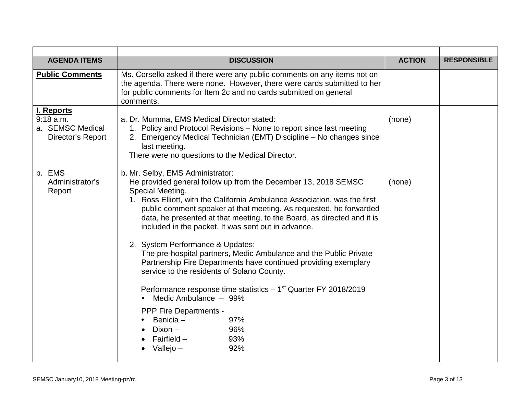|                                                                                                                                                                                                                                                                                                                                                                                                                                                                                                                                                                                                                                                                                                                                                                                                                                       |                                         | <b>RESPONSIBLE</b> |
|---------------------------------------------------------------------------------------------------------------------------------------------------------------------------------------------------------------------------------------------------------------------------------------------------------------------------------------------------------------------------------------------------------------------------------------------------------------------------------------------------------------------------------------------------------------------------------------------------------------------------------------------------------------------------------------------------------------------------------------------------------------------------------------------------------------------------------------|-----------------------------------------|--------------------|
| Ms. Corsello asked if there were any public comments on any items not on<br>the agenda. There were none. However, there were cards submitted to her<br>for public comments for Item 2c and no cards submitted on general<br>comments.                                                                                                                                                                                                                                                                                                                                                                                                                                                                                                                                                                                                 |                                         |                    |
| a. Dr. Mumma, EMS Medical Director stated:<br>1. Policy and Protocol Revisions – None to report since last meeting<br>2. Emergency Medical Technician (EMT) Discipline - No changes since<br>last meeting.<br>There were no questions to the Medical Director.                                                                                                                                                                                                                                                                                                                                                                                                                                                                                                                                                                        | (none)                                  |                    |
| b. Mr. Selby, EMS Administrator:<br>He provided general follow up from the December 13, 2018 SEMSC<br>Special Meeting.<br>1. Ross Elliott, with the California Ambulance Association, was the first<br>public comment speaker at that meeting. As requested, he forwarded<br>data, he presented at that meeting, to the Board, as directed and it is<br>included in the packet. It was sent out in advance.<br>2. System Performance & Updates:<br>The pre-hospital partners, Medic Ambulance and the Public Private<br>Partnership Fire Departments have continued providing exemplary<br>service to the residents of Solano County.<br>Performance response time statistics - 1 <sup>st</sup> Quarter FY 2018/2019<br>Medic Ambulance - 99%<br>PPP Fire Departments -<br>Benicia -<br>97%<br>$Dixon -$<br>96%<br>Fairfield –<br>93% | (none)                                  |                    |
|                                                                                                                                                                                                                                                                                                                                                                                                                                                                                                                                                                                                                                                                                                                                                                                                                                       | <b>DISCUSSION</b><br>Vallejo $-$<br>92% | <b>ACTION</b>      |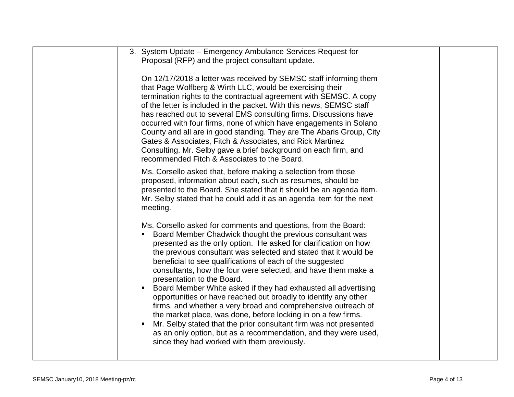| 3. System Update - Emergency Ambulance Services Request for<br>Proposal (RFP) and the project consultant update.                                                                                                                                                                                                                                                                                                                                                                                                                                                                                                                                                                                                                                                                                                                                                                                  |  |
|---------------------------------------------------------------------------------------------------------------------------------------------------------------------------------------------------------------------------------------------------------------------------------------------------------------------------------------------------------------------------------------------------------------------------------------------------------------------------------------------------------------------------------------------------------------------------------------------------------------------------------------------------------------------------------------------------------------------------------------------------------------------------------------------------------------------------------------------------------------------------------------------------|--|
| On 12/17/2018 a letter was received by SEMSC staff informing them<br>that Page Wolfberg & Wirth LLC, would be exercising their<br>termination rights to the contractual agreement with SEMSC. A copy<br>of the letter is included in the packet. With this news, SEMSC staff<br>has reached out to several EMS consulting firms. Discussions have<br>occurred with four firms, none of which have engagements in Solano<br>County and all are in good standing. They are The Abaris Group, City<br>Gates & Associates, Fitch & Associates, and Rick Martinez<br>Consulting. Mr. Selby gave a brief background on each firm, and<br>recommended Fitch & Associates to the Board.                                                                                                                                                                                                                   |  |
| Ms. Corsello asked that, before making a selection from those<br>proposed, information about each, such as resumes, should be<br>presented to the Board. She stated that it should be an agenda item.<br>Mr. Selby stated that he could add it as an agenda item for the next<br>meeting.                                                                                                                                                                                                                                                                                                                                                                                                                                                                                                                                                                                                         |  |
| Ms. Corsello asked for comments and questions, from the Board:<br>Board Member Chadwick thought the previous consultant was<br>presented as the only option. He asked for clarification on how<br>the previous consultant was selected and stated that it would be<br>beneficial to see qualifications of each of the suggested<br>consultants, how the four were selected, and have them make a<br>presentation to the Board.<br>Board Member White asked if they had exhausted all advertising<br>opportunities or have reached out broadly to identify any other<br>firms, and whether a very broad and comprehensive outreach of<br>the market place, was done, before locking in on a few firms.<br>Mr. Selby stated that the prior consultant firm was not presented<br>٠<br>as an only option, but as a recommendation, and they were used,<br>since they had worked with them previously. |  |
|                                                                                                                                                                                                                                                                                                                                                                                                                                                                                                                                                                                                                                                                                                                                                                                                                                                                                                   |  |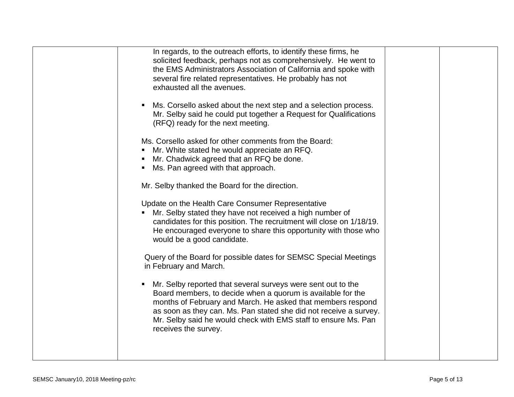| In regards, to the outreach efforts, to identify these firms, he<br>solicited feedback, perhaps not as comprehensively. He went to<br>the EMS Administrators Association of California and spoke with<br>several fire related representatives. He probably has not<br>exhausted all the avenues.                                                          |
|-----------------------------------------------------------------------------------------------------------------------------------------------------------------------------------------------------------------------------------------------------------------------------------------------------------------------------------------------------------|
| Ms. Corsello asked about the next step and a selection process.<br>Mr. Selby said he could put together a Request for Qualifications<br>(RFQ) ready for the next meeting.                                                                                                                                                                                 |
| Ms. Corsello asked for other comments from the Board:<br>Mr. White stated he would appreciate an RFQ.<br>Mr. Chadwick agreed that an RFQ be done.<br>Ms. Pan agreed with that approach.                                                                                                                                                                   |
| Mr. Selby thanked the Board for the direction.                                                                                                                                                                                                                                                                                                            |
| Update on the Health Care Consumer Representative<br>Mr. Selby stated they have not received a high number of<br>candidates for this position. The recruitment will close on 1/18/19.<br>He encouraged everyone to share this opportunity with those who<br>would be a good candidate.                                                                    |
| Query of the Board for possible dates for SEMSC Special Meetings<br>in February and March.                                                                                                                                                                                                                                                                |
| Mr. Selby reported that several surveys were sent out to the<br>Board members, to decide when a quorum is available for the<br>months of February and March. He asked that members respond<br>as soon as they can. Ms. Pan stated she did not receive a survey.<br>Mr. Selby said he would check with EMS staff to ensure Ms. Pan<br>receives the survey. |
|                                                                                                                                                                                                                                                                                                                                                           |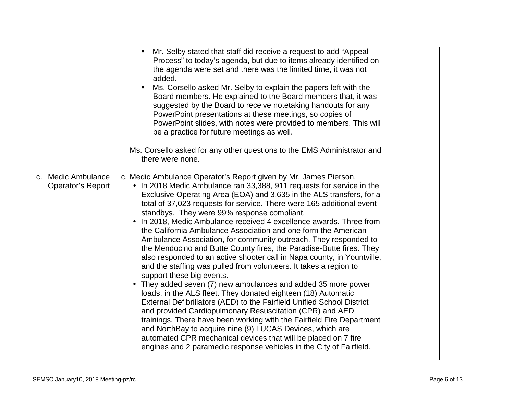|                                                | Mr. Selby stated that staff did receive a request to add "Appeal<br>Process" to today's agenda, but due to items already identified on<br>the agenda were set and there was the limited time, it was not<br>added.<br>Ms. Corsello asked Mr. Selby to explain the papers left with the<br>Board members. He explained to the Board members that, it was<br>suggested by the Board to receive notetaking handouts for any<br>PowerPoint presentations at these meetings, so copies of<br>PowerPoint slides, with notes were provided to members. This will<br>be a practice for future meetings as well.<br>Ms. Corsello asked for any other questions to the EMS Administrator and<br>there were none.                                                                                                                                                                                                                                                                                                                                                                                                                                                                                                                                                                                                                                                             |  |
|------------------------------------------------|--------------------------------------------------------------------------------------------------------------------------------------------------------------------------------------------------------------------------------------------------------------------------------------------------------------------------------------------------------------------------------------------------------------------------------------------------------------------------------------------------------------------------------------------------------------------------------------------------------------------------------------------------------------------------------------------------------------------------------------------------------------------------------------------------------------------------------------------------------------------------------------------------------------------------------------------------------------------------------------------------------------------------------------------------------------------------------------------------------------------------------------------------------------------------------------------------------------------------------------------------------------------------------------------------------------------------------------------------------------------|--|
| c. Medic Ambulance<br><b>Operator's Report</b> | c. Medic Ambulance Operator's Report given by Mr. James Pierson.<br>• In 2018 Medic Ambulance ran 33,388, 911 requests for service in the<br>Exclusive Operating Area (EOA) and 3,635 in the ALS transfers, for a<br>total of 37,023 requests for service. There were 165 additional event<br>standbys. They were 99% response compliant.<br>• In 2018, Medic Ambulance received 4 excellence awards. Three from<br>the California Ambulance Association and one form the American<br>Ambulance Association, for community outreach. They responded to<br>the Mendocino and Butte County fires, the Paradise-Butte fires. They<br>also responded to an active shooter call in Napa county, in Yountville,<br>and the staffing was pulled from volunteers. It takes a region to<br>support these big events.<br>• They added seven (7) new ambulances and added 35 more power<br>loads, in the ALS fleet. They donated eighteen (18) Automatic<br>External Defibrillators (AED) to the Fairfield Unified School District<br>and provided Cardiopulmonary Resuscitation (CPR) and AED<br>trainings. There have been working with the Fairfield Fire Department<br>and NorthBay to acquire nine (9) LUCAS Devices, which are<br>automated CPR mechanical devices that will be placed on 7 fire<br>engines and 2 paramedic response vehicles in the City of Fairfield. |  |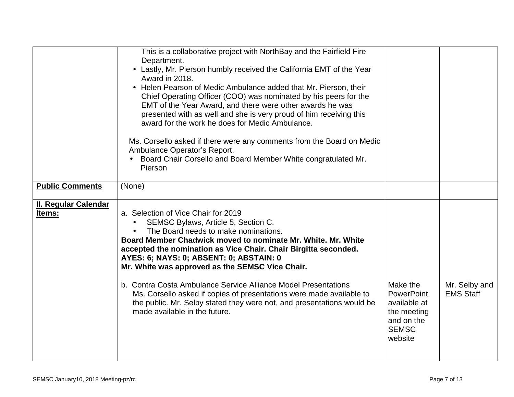|                                       | This is a collaborative project with NorthBay and the Fairfield Fire<br>Department.<br>• Lastly, Mr. Pierson humbly received the California EMT of the Year<br>Award in 2018.<br>• Helen Pearson of Medic Ambulance added that Mr. Pierson, their<br>Chief Operating Officer (COO) was nominated by his peers for the<br>EMT of the Year Award, and there were other awards he was<br>presented with as well and she is very proud of him receiving this<br>award for the work he does for Medic Ambulance.<br>Ms. Corsello asked if there were any comments from the Board on Medic<br>Ambulance Operator's Report.<br>Board Chair Corsello and Board Member White congratulated Mr.<br>Pierson |                                                                                                |                                   |
|---------------------------------------|--------------------------------------------------------------------------------------------------------------------------------------------------------------------------------------------------------------------------------------------------------------------------------------------------------------------------------------------------------------------------------------------------------------------------------------------------------------------------------------------------------------------------------------------------------------------------------------------------------------------------------------------------------------------------------------------------|------------------------------------------------------------------------------------------------|-----------------------------------|
| <b>Public Comments</b>                | (None)                                                                                                                                                                                                                                                                                                                                                                                                                                                                                                                                                                                                                                                                                           |                                                                                                |                                   |
|                                       |                                                                                                                                                                                                                                                                                                                                                                                                                                                                                                                                                                                                                                                                                                  |                                                                                                |                                   |
| <b>II. Regular Calendar</b><br>Items: | a. Selection of Vice Chair for 2019<br>SEMSC Bylaws, Article 5, Section C.<br>$\bullet$<br>The Board needs to make nominations.<br>Board Member Chadwick moved to nominate Mr. White. Mr. White<br>accepted the nomination as Vice Chair. Chair Birgitta seconded.<br>AYES: 6; NAYS: 0; ABSENT: 0; ABSTAIN: 0<br>Mr. White was approved as the SEMSC Vice Chair.<br>b. Contra Costa Ambulance Service Alliance Model Presentations<br>Ms. Corsello asked if copies of presentations were made available to<br>the public. Mr. Selby stated they were not, and presentations would be<br>made available in the future.                                                                            | Make the<br>PowerPoint<br>available at<br>the meeting<br>and on the<br><b>SEMSC</b><br>website | Mr. Selby and<br><b>EMS Staff</b> |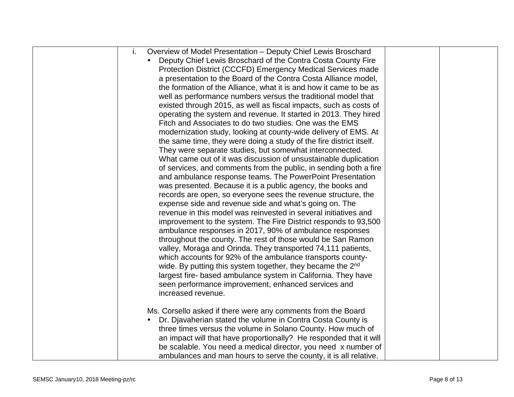| Overview of Model Presentation - Deputy Chief Lewis Broschard<br>i.      |  |
|--------------------------------------------------------------------------|--|
| Deputy Chief Lewis Broschard of the Contra Costa County Fire             |  |
| Protection District (CCCFD) Emergency Medical Services made              |  |
| a presentation to the Board of the Contra Costa Alliance model,          |  |
| the formation of the Alliance, what it is and how it came to be as       |  |
| well as performance numbers versus the traditional model that            |  |
| existed through 2015, as well as fiscal impacts, such as costs of        |  |
| operating the system and revenue. It started in 2013. They hired         |  |
| Fitch and Associates to do two studies. One was the EMS                  |  |
| modernization study, looking at county-wide delivery of EMS. At          |  |
| the same time, they were doing a study of the fire district itself.      |  |
| They were separate studies, but somewhat interconnected.                 |  |
| What came out of it was discussion of unsustainable duplication          |  |
| of services, and comments from the public, in sending both a fire        |  |
| and ambulance response teams. The PowerPoint Presentation                |  |
| was presented. Because it is a public agency, the books and              |  |
| records are open, so everyone sees the revenue structure, the            |  |
| expense side and revenue side and what's going on. The                   |  |
| revenue in this model was reinvested in several initiatives and          |  |
| improvement to the system. The Fire District responds to 93,500          |  |
| ambulance responses in 2017, 90% of ambulance responses                  |  |
| throughout the county. The rest of those would be San Ramon              |  |
| valley, Moraga and Orinda. They transported 74,111 patients,             |  |
| which accounts for 92% of the ambulance transports county-               |  |
| wide. By putting this system together, they became the 2 <sup>nd</sup>   |  |
| largest fire- based ambulance system in California. They have            |  |
| seen performance improvement, enhanced services and                      |  |
| increased revenue.                                                       |  |
| Ms. Corsello asked if there were any comments from the Board             |  |
| Dr. Djavaherian stated the volume in Contra Costa County is<br>$\bullet$ |  |
| three times versus the volume in Solano County. How much of              |  |
| an impact will that have proportionally? He responded that it will       |  |
| be scalable. You need a medical director, you need x number of           |  |
| ambulances and man hours to serve the county, it is all relative.        |  |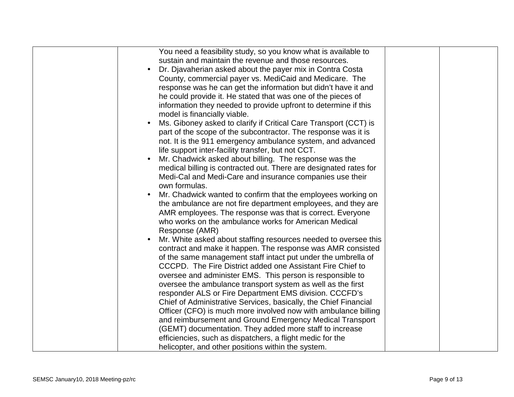| You need a feasibility study, so you know what is available to                |  |
|-------------------------------------------------------------------------------|--|
| sustain and maintain the revenue and those resources.                         |  |
| Dr. Djavaherian asked about the payer mix in Contra Costa                     |  |
| County, commercial payer vs. MediCaid and Medicare. The                       |  |
| response was he can get the information but didn't have it and                |  |
| he could provide it. He stated that was one of the pieces of                  |  |
| information they needed to provide upfront to determine if this               |  |
| model is financially viable.                                                  |  |
| Ms. Giboney asked to clarify if Critical Care Transport (CCT) is<br>$\bullet$ |  |
| part of the scope of the subcontractor. The response was it is                |  |
| not. It is the 911 emergency ambulance system, and advanced                   |  |
| life support inter-facility transfer, but not CCT.                            |  |
| Mr. Chadwick asked about billing. The response was the<br>$\bullet$           |  |
| medical billing is contracted out. There are designated rates for             |  |
| Medi-Cal and Medi-Care and insurance companies use their                      |  |
| own formulas.                                                                 |  |
| Mr. Chadwick wanted to confirm that the employees working on<br>$\bullet$     |  |
| the ambulance are not fire department employees, and they are                 |  |
| AMR employees. The response was that is correct. Everyone                     |  |
| who works on the ambulance works for American Medical                         |  |
|                                                                               |  |
| Response (AMR)                                                                |  |
| Mr. White asked about staffing resources needed to oversee this<br>$\bullet$  |  |
| contract and make it happen. The response was AMR consisted                   |  |
| of the same management staff intact put under the umbrella of                 |  |
| CCCPD. The Fire District added one Assistant Fire Chief to                    |  |
| oversee and administer EMS. This person is responsible to                     |  |
| oversee the ambulance transport system as well as the first                   |  |
| responder ALS or Fire Department EMS division. CCCFD's                        |  |
| Chief of Administrative Services, basically, the Chief Financial              |  |
| Officer (CFO) is much more involved now with ambulance billing                |  |
| and reimbursement and Ground Emergency Medical Transport                      |  |
| (GEMT) documentation. They added more staff to increase                       |  |
| efficiencies, such as dispatchers, a flight medic for the                     |  |
| helicopter, and other positions within the system.                            |  |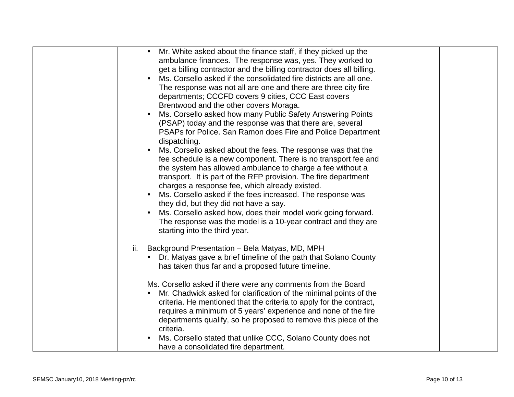| Mr. White asked about the finance staff, if they picked up the<br>$\bullet$<br>ambulance finances. The response was, yes. They worked to<br>get a billing contractor and the billing contractor does all billing.<br>Ms. Corsello asked if the consolidated fire districts are all one.<br>The response was not all are one and there are three city fire<br>departments; CCCFD covers 9 cities, CCC East covers<br>Brentwood and the other covers Moraga.<br>Ms. Corsello asked how many Public Safety Answering Points<br>$\bullet$<br>(PSAP) today and the response was that there are, several<br>PSAPs for Police. San Ramon does Fire and Police Department<br>dispatching.<br>Ms. Corsello asked about the fees. The response was that the<br>$\bullet$<br>fee schedule is a new component. There is no transport fee and<br>the system has allowed ambulance to charge a fee without a<br>transport. It is part of the RFP provision. The fire department<br>charges a response fee, which already existed.<br>Ms. Corsello asked if the fees increased. The response was<br>$\bullet$<br>they did, but they did not have a say. |
|------------------------------------------------------------------------------------------------------------------------------------------------------------------------------------------------------------------------------------------------------------------------------------------------------------------------------------------------------------------------------------------------------------------------------------------------------------------------------------------------------------------------------------------------------------------------------------------------------------------------------------------------------------------------------------------------------------------------------------------------------------------------------------------------------------------------------------------------------------------------------------------------------------------------------------------------------------------------------------------------------------------------------------------------------------------------------------------------------------------------------------------|
| Ms. Corsello asked how, does their model work going forward.<br>The response was the model is a 10-year contract and they are<br>starting into the third year.                                                                                                                                                                                                                                                                                                                                                                                                                                                                                                                                                                                                                                                                                                                                                                                                                                                                                                                                                                           |
| Background Presentation - Bela Matyas, MD, MPH<br>ii.<br>• Dr. Matyas gave a brief timeline of the path that Solano County<br>has taken thus far and a proposed future timeline.                                                                                                                                                                                                                                                                                                                                                                                                                                                                                                                                                                                                                                                                                                                                                                                                                                                                                                                                                         |
| Ms. Corsello asked if there were any comments from the Board<br>Mr. Chadwick asked for clarification of the minimal points of the<br>$\bullet$<br>criteria. He mentioned that the criteria to apply for the contract,<br>requires a minimum of 5 years' experience and none of the fire<br>departments qualify, so he proposed to remove this piece of the<br>criteria.<br>Ms. Corsello stated that unlike CCC, Solano County does not<br>$\bullet$                                                                                                                                                                                                                                                                                                                                                                                                                                                                                                                                                                                                                                                                                      |
| have a consolidated fire department.                                                                                                                                                                                                                                                                                                                                                                                                                                                                                                                                                                                                                                                                                                                                                                                                                                                                                                                                                                                                                                                                                                     |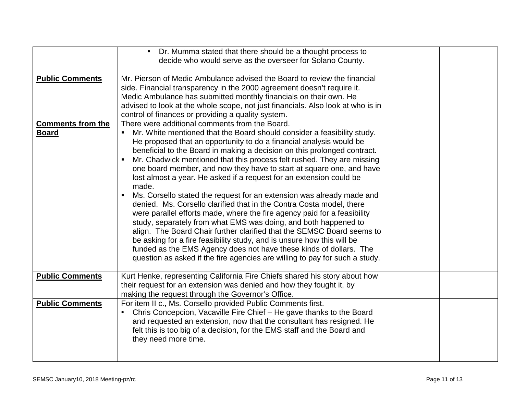|                                          | Dr. Mumma stated that there should be a thought process to<br>decide who would serve as the overseer for Solano County.                                                                                                                                                                                                                                                                                                                                                                                                                                                                                                                                                                                                                                                                                                                                                                                                                                                                                                                                                                                                 |  |
|------------------------------------------|-------------------------------------------------------------------------------------------------------------------------------------------------------------------------------------------------------------------------------------------------------------------------------------------------------------------------------------------------------------------------------------------------------------------------------------------------------------------------------------------------------------------------------------------------------------------------------------------------------------------------------------------------------------------------------------------------------------------------------------------------------------------------------------------------------------------------------------------------------------------------------------------------------------------------------------------------------------------------------------------------------------------------------------------------------------------------------------------------------------------------|--|
| <b>Public Comments</b>                   | Mr. Pierson of Medic Ambulance advised the Board to review the financial<br>side. Financial transparency in the 2000 agreement doesn't require it.<br>Medic Ambulance has submitted monthly financials on their own. He<br>advised to look at the whole scope, not just financials. Also look at who is in<br>control of finances or providing a quality system.                                                                                                                                                                                                                                                                                                                                                                                                                                                                                                                                                                                                                                                                                                                                                        |  |
| <b>Comments from the</b><br><b>Board</b> | There were additional comments from the Board.<br>Mr. White mentioned that the Board should consider a feasibility study.<br>He proposed that an opportunity to do a financial analysis would be<br>beneficial to the Board in making a decision on this prolonged contract.<br>Mr. Chadwick mentioned that this process felt rushed. They are missing<br>one board member, and now they have to start at square one, and have<br>lost almost a year. He asked if a request for an extension could be<br>made.<br>Ms. Corsello stated the request for an extension was already made and<br>denied. Ms. Corsello clarified that in the Contra Costa model, there<br>were parallel efforts made, where the fire agency paid for a feasibility<br>study, separately from what EMS was doing, and both happened to<br>align. The Board Chair further clarified that the SEMSC Board seems to<br>be asking for a fire feasibility study, and is unsure how this will be<br>funded as the EMS Agency does not have these kinds of dollars. The<br>question as asked if the fire agencies are willing to pay for such a study. |  |
| <b>Public Comments</b>                   | Kurt Henke, representing California Fire Chiefs shared his story about how<br>their request for an extension was denied and how they fought it, by<br>making the request through the Governor's Office.                                                                                                                                                                                                                                                                                                                                                                                                                                                                                                                                                                                                                                                                                                                                                                                                                                                                                                                 |  |
| <b>Public Comments</b>                   | For item II c., Ms. Corsello provided Public Comments first.<br>Chris Concepcion, Vacaville Fire Chief - He gave thanks to the Board<br>$\bullet$<br>and requested an extension, now that the consultant has resigned. He<br>felt this is too big of a decision, for the EMS staff and the Board and<br>they need more time.                                                                                                                                                                                                                                                                                                                                                                                                                                                                                                                                                                                                                                                                                                                                                                                            |  |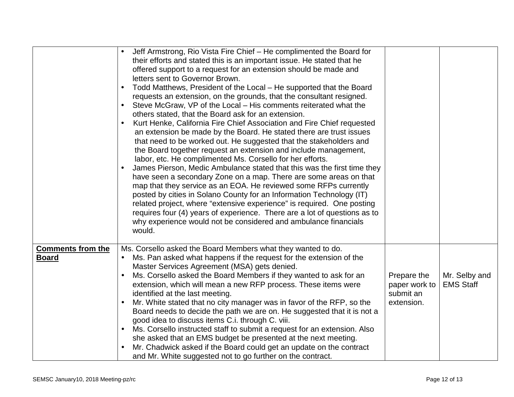|                                          | Jeff Armstrong, Rio Vista Fire Chief - He complimented the Board for<br>$\bullet$<br>their efforts and stated this is an important issue. He stated that he<br>offered support to a request for an extension should be made and<br>letters sent to Governor Brown.<br>Todd Matthews, President of the Local – He supported that the Board<br>requests an extension, on the grounds, that the consultant resigned.<br>Steve McGraw, VP of the Local – His comments reiterated what the<br>others stated, that the Board ask for an extension.<br>Kurt Henke, California Fire Chief Association and Fire Chief requested<br>$\bullet$<br>an extension be made by the Board. He stated there are trust issues<br>that need to be worked out. He suggested that the stakeholders and<br>the Board together request an extension and include management,<br>labor, etc. He complimented Ms. Corsello for her efforts.<br>James Pierson, Medic Ambulance stated that this was the first time they<br>$\bullet$<br>have seen a secondary Zone on a map. There are some areas on that<br>map that they service as an EOA. He reviewed some RFPs currently<br>posted by cities in Solano County for an Information Technology (IT)<br>related project, where "extensive experience" is required. One posting<br>requires four (4) years of experience. There are a lot of questions as to<br>why experience would not be considered and ambulance financials<br>would. |                                                         |                                   |
|------------------------------------------|---------------------------------------------------------------------------------------------------------------------------------------------------------------------------------------------------------------------------------------------------------------------------------------------------------------------------------------------------------------------------------------------------------------------------------------------------------------------------------------------------------------------------------------------------------------------------------------------------------------------------------------------------------------------------------------------------------------------------------------------------------------------------------------------------------------------------------------------------------------------------------------------------------------------------------------------------------------------------------------------------------------------------------------------------------------------------------------------------------------------------------------------------------------------------------------------------------------------------------------------------------------------------------------------------------------------------------------------------------------------------------------------------------------------------------------------------------------|---------------------------------------------------------|-----------------------------------|
| <b>Comments from the</b><br><b>Board</b> | Ms. Corsello asked the Board Members what they wanted to do.<br>Ms. Pan asked what happens if the request for the extension of the<br>$\bullet$<br>Master Services Agreement (MSA) gets denied.<br>Ms. Corsello asked the Board Members if they wanted to ask for an<br>$\bullet$<br>extension, which will mean a new RFP process. These items were<br>identified at the last meeting.<br>Mr. White stated that no city manager was in favor of the RFP, so the<br>Board needs to decide the path we are on. He suggested that it is not a<br>good idea to discuss items C.i. through C. viii.<br>Ms. Corsello instructed staff to submit a request for an extension. Also<br>$\bullet$<br>she asked that an EMS budget be presented at the next meeting.<br>Mr. Chadwick asked if the Board could get an update on the contract<br>and Mr. White suggested not to go further on the contract.                                                                                                                                                                                                                                                                                                                                                                                                                                                                                                                                                                | Prepare the<br>paper work to<br>submit an<br>extension. | Mr. Selby and<br><b>EMS Staff</b> |